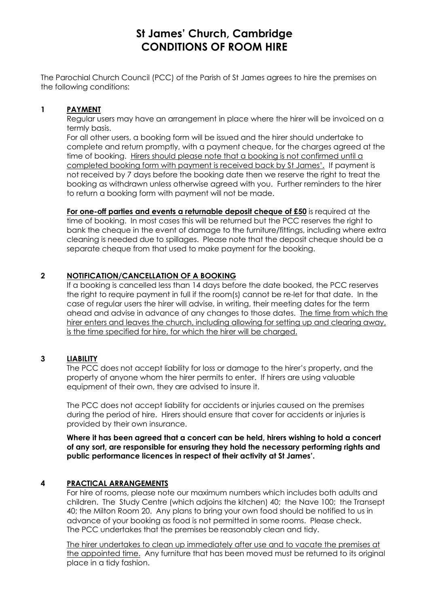# **St James' Church, Cambridge CONDITIONS OF ROOM HIRE**

The Parochial Church Council (PCC) of the Parish of St James agrees to hire the premises on the following conditions:

### **1 PAYMENT**

Regular users may have an arrangement in place where the hirer will be invoiced on a termly basis.

For all other users, a booking form will be issued and the hirer should undertake to complete and return promptly, with a payment cheque, for the charges agreed at the time of booking. Hirers should please note that a booking is not confirmed until a completed booking form with payment is received back by St James'.If payment is not received by 7 days before the booking date then we reserve the right to treat the booking as withdrawn unless otherwise agreed with you. Further reminders to the hirer to return a booking form with payment will not be made.

**For one-off parties and events a returnable deposit cheque of £50** is required at the time of booking. In most cases this will be returned but the PCC reserves the right to bank the cheque in the event of damage to the furniture/fittings, including where extra cleaning is needed due to spillages. Please note that the deposit cheque should be a separate cheque from that used to make payment for the booking.

#### **2 NOTIFICATION/CANCELLATION OF A BOOKING**

If a booking is cancelled less than 14 days before the date booked, the PCC reserves the right to require payment in full if the room(s) cannot be re-let for that date. In the case of regular users the hirer will advise, in writing, their meeting dates for the term ahead and advise in advance of any changes to those dates. The time from which the hirer enters and leaves the church, including allowing for setting up and clearing away, is the time specified for hire, for which the hirer will be charged.

# **3 LIABILITY**

The PCC does not accept liability for loss or damage to the hirer's property, and the property of anyone whom the hirer permits to enter. If hirers are using valuable equipment of their own, they are advised to insure it.

The PCC does not accept liability for accidents or injuries caused on the premises during the period of hire. Hirers should ensure that cover for accidents or injuries is provided by their own insurance.

**Where it has been agreed that a concert can be held, hirers wishing to hold a concert of any sort, are responsible for ensuring they hold the necessary performing rights and public performance licences in respect of their activity at St James'.**

# **4 PRACTICAL ARRANGEMENTS**

For hire of rooms, please note our maximum numbers which includes both adults and children. The Study Centre (which adjoins the kitchen) 40; the Nave 100; the Transept 40; the Milton Room 20. Any plans to bring your own food should be notified to us in advance of your booking as food is not permitted in some rooms. Please check. The PCC undertakes that the premises be reasonably clean and tidy.

The hirer undertakes to clean up immediately after use and to vacate the premises at the appointed time. Any furniture that has been moved must be returned to its original place in a tidy fashion.